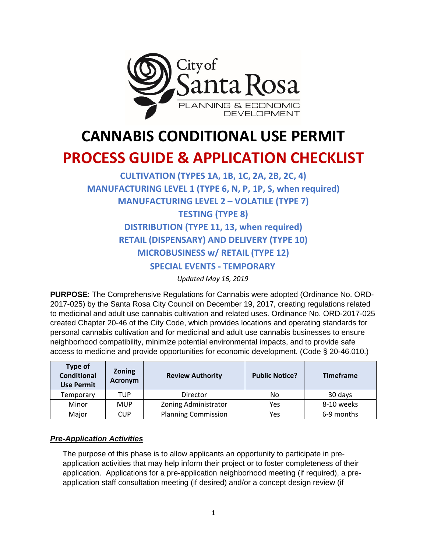

# **CANNABIS CONDITIONAL USE PERMIT**

## **PROCESS GUIDE & APPLICATION CHECKLIST**

### **CULTIVATION (TYPES 1A, 1B, 1C, 2A, 2B, 2C, 4) MANUFACTURING LEVEL 1 (TYPE 6, N, P, 1P, S, when required) MANUFACTURING LEVEL 2 – VOLATILE (TYPE 7) TESTING (TYPE 8) DISTRIBUTION (TYPE 11, 13, when required) RETAIL (DISPENSARY) AND DELIVERY (TYPE 10) MICROBUSINESS w/ RETAIL (TYPE 12) SPECIAL EVENTS - TEMPORARY**

*Updated May 16, 2019* 

**PURPOSE**: The Comprehensive Regulations for Cannabis were adopted (Ordinance No. ORD-2017-025) by the Santa Rosa City Council on December 19, 2017, creating regulations related to medicinal and adult use cannabis cultivation and related uses. Ordinance No. ORD-2017-025 created Chapter 20-46 of the City Code, which provides locations and operating standards for personal cannabis cultivation and for medicinal and adult use cannabis businesses to ensure neighborhood compatibility, minimize potential environmental impacts, and to provide safe access to medicine and provide opportunities for economic development. (Code § 20-46.010.)

| Type of<br><b>Conditional</b><br><b>Use Permit</b> | <b>Zoning</b><br>Acronym | <b>Review Authority</b>     | <b>Public Notice?</b> | <b>Timeframe</b> |  |
|----------------------------------------------------|--------------------------|-----------------------------|-----------------------|------------------|--|
| Temporary                                          | TUP                      | Director                    | No.                   | 30 days          |  |
| Minor                                              | <b>MUP</b>               | <b>Zoning Administrator</b> | Yes                   | 8-10 weeks       |  |
| Major                                              | CUP                      | <b>Planning Commission</b>  | Yes                   | 6-9 months       |  |

#### *Pre-Application Activities*

The purpose of this phase is to allow applicants an opportunity to participate in preapplication activities that may help inform their project or to foster completeness of their application. Applications for a pre-application neighborhood meeting (if required), a preapplication staff consultation meeting (if desired) and/or a concept design review (if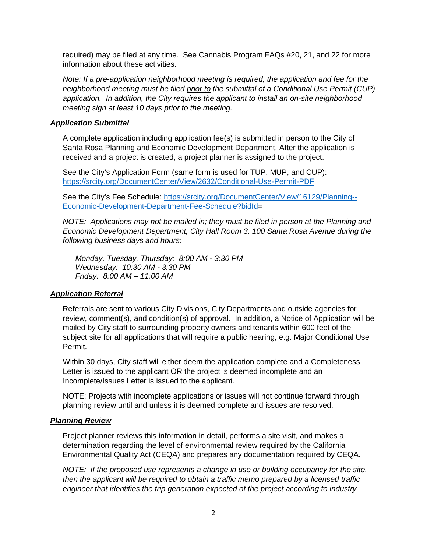required) may be filed at any time. See Cannabis Program FAQs #20, 21, and 22 for more information about these activities.

*Note: If a pre-application neighborhood meeting is required, the application and fee for the neighborhood meeting must be filed prior to the submittal of a Conditional Use Permit (CUP) application. In addition, the City requires the applicant to install an on-site neighborhood meeting sign at least 10 days prior to the meeting.* 

#### *Application Submittal*

A complete application including application fee(s) is submitted in person to the City of Santa Rosa Planning and Economic Development Department. After the application is received and a project is created, a project planner is assigned to the project.

See the City's Application Form (same form is used for TUP, MUP, and CUP): <https://srcity.org/DocumentCenter/View/2632/Conditional-Use-Permit-PDF>

See the City's Fee Schedule: [https://srcity.org/DocumentCenter/View/16129/Planning--](https://srcity.org/DocumentCenter/View/16129/Planning--Economic-Development-Department-Fee-Schedule?bidId) [Economic-Development-Department-Fee-Schedule?bidId=](https://srcity.org/DocumentCenter/View/16129/Planning--Economic-Development-Department-Fee-Schedule?bidId)

*NOTE: Applications may not be mailed in; they must be filed in person at the Planning and Economic Development Department, City Hall Room 3, 100 Santa Rosa Avenue during the following business days and hours:*

*Monday, Tuesday, Thursday: 8:00 AM - 3:30 PM Wednesday: 10:30 AM - 3:30 PM Friday: 8:00 AM – 11:00 AM* 

#### *Application Referral*

Referrals are sent to various City Divisions, City Departments and outside agencies for review, comment(s), and condition(s) of approval. In addition, a Notice of Application will be mailed by City staff to surrounding property owners and tenants within 600 feet of the subject site for all applications that will require a public hearing, e.g. Major Conditional Use Permit.

Within 30 days, City staff will either deem the application complete and a Completeness Letter is issued to the applicant OR the project is deemed incomplete and an Incomplete/Issues Letter is issued to the applicant.

NOTE: Projects with incomplete applications or issues will not continue forward through planning review until and unless it is deemed complete and issues are resolved.

#### *Planning Review*

Project planner reviews this information in detail, performs a site visit, and makes a determination regarding the level of environmental review required by the California Environmental Quality Act (CEQA) and prepares any documentation required by CEQA.

*NOTE: If the proposed use represents a change in use or building occupancy for the site, then the applicant will be required to obtain a traffic memo prepared by a licensed traffic engineer that identifies the trip generation expected of the project according to industry*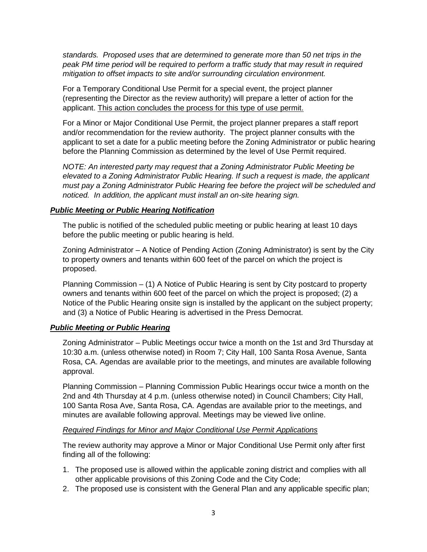*standards. Proposed uses that are determined to generate more than 50 net trips in the peak PM time period will be required to perform a traffic study that may result in required mitigation to offset impacts to site and/or surrounding circulation environment.* 

For a Temporary Conditional Use Permit for a special event, the project planner (representing the Director as the review authority) will prepare a letter of action for the applicant. This action concludes the process for this type of use permit.

For a Minor or Major Conditional Use Permit, the project planner prepares a staff report and/or recommendation for the review authority. The project planner consults with the applicant to set a date for a public meeting before the Zoning Administrator or public hearing before the Planning Commission as determined by the level of Use Permit required.

*NOTE: An interested party may request that a Zoning Administrator Public Meeting be elevated to a Zoning Administrator Public Hearing. If such a request is made, the applicant must pay a Zoning Administrator Public Hearing fee before the project will be scheduled and noticed. In addition, the applicant must install an on-site hearing sign.*

#### *Public Meeting or Public Hearing Notification*

The public is notified of the scheduled public meeting or public hearing at least 10 days before the public meeting or public hearing is held.

Zoning Administrator – A Notice of Pending Action (Zoning Administrator) is sent by the City to property owners and tenants within 600 feet of the parcel on which the project is proposed.

Planning Commission – (1) A Notice of Public Hearing is sent by City postcard to property owners and tenants within 600 feet of the parcel on which the project is proposed; (2) a Notice of the Public Hearing onsite sign is installed by the applicant on the subject property; and (3) a Notice of Public Hearing is advertised in the Press Democrat.

#### *Public Meeting or Public Hearing*

Zoning Administrator – Public Meetings occur twice a month on the 1st and 3rd Thursday at 10:30 a.m. (unless otherwise noted) in Room 7; City Hall, 100 Santa Rosa Avenue, Santa Rosa, CA. Agendas are available prior to the meetings, and minutes are available following approval.

Planning Commission – Planning Commission Public Hearings occur twice a month on the 2nd and 4th Thursday at 4 p.m. (unless otherwise noted) in Council Chambers; City Hall, 100 Santa Rosa Ave, Santa Rosa, CA. Agendas are available prior to the meetings, and minutes are available following approval. Meetings may be viewed live online.

#### *Required Findings for Minor and Major Conditional Use Permit Applications*

The review authority may approve a Minor or Major Conditional Use Permit only after first finding all of the following:

- 1. The proposed use is allowed within the applicable zoning district and complies with all other applicable provisions of this Zoning Code and the City Code;
- 2. The proposed use is consistent with the General Plan and any applicable specific plan;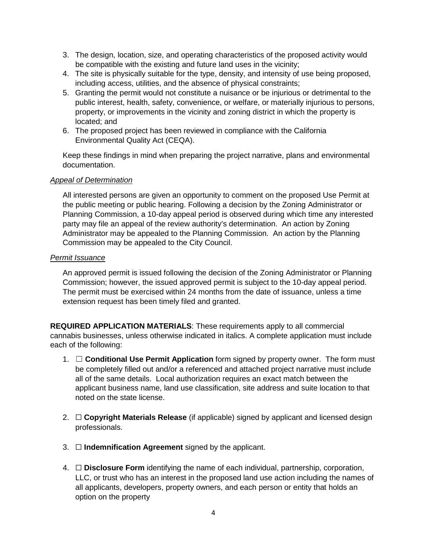- 3. The design, location, size, and operating characteristics of the proposed activity would be compatible with the existing and future land uses in the vicinity;
- 4. The site is physically suitable for the type, density, and intensity of use being proposed, including access, utilities, and the absence of physical constraints;
- 5. Granting the permit would not constitute a nuisance or be injurious or detrimental to the public interest, health, safety, convenience, or welfare, or materially injurious to persons, property, or improvements in the vicinity and zoning district in which the property is located; and
- 6. The proposed project has been reviewed in compliance with the California Environmental Quality Act (CEQA).

Keep these findings in mind when preparing the project narrative, plans and environmental documentation.

#### *Appeal of Determination*

All interested persons are given an opportunity to comment on the proposed Use Permit at the public meeting or public hearing. Following a decision by the Zoning Administrator or Planning Commission, a 10-day appeal period is observed during which time any interested party may file an appeal of the review authority's determination. An action by Zoning Administrator may be appealed to the Planning Commission. An action by the Planning Commission may be appealed to the City Council.

#### *Permit Issuance*

An approved permit is issued following the decision of the Zoning Administrator or Planning Commission; however, the issued approved permit is subject to the 10-day appeal period. The permit must be exercised within 24 months from the date of issuance, unless a time extension request has been timely filed and granted.

**REQUIRED APPLICATION MATERIALS**: These requirements apply to all commercial cannabis businesses, unless otherwise indicated in italics. A complete application must include each of the following:

- 1. ☐ **Conditional Use Permit Application** form signed by property owner. The form must be completely filled out and/or a referenced and attached project narrative must include all of the same details. Local authorization requires an exact match between the applicant business name, land use classification, site address and suite location to that noted on the state license.
- 2. ☐ **Copyright Materials Release** (if applicable) signed by applicant and licensed design professionals.
- 3. ☐ **Indemnification Agreement** signed by the applicant.
- 4. ☐ **Disclosure Form** identifying the name of each individual, partnership, corporation, LLC, or trust who has an interest in the proposed land use action including the names of all applicants, developers, property owners, and each person or entity that holds an option on the property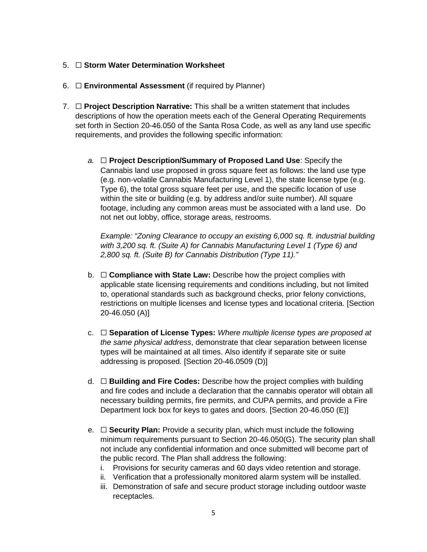#### 5. ☐ **Storm Water Determination Worksheet**

- 6. ☐ **Environmental Assessment** (if required by Planner)
- 7. ☐ **Project Description Narrative:** This shall be a written statement that includes descriptions of how the operation meets each of the General Operating Requirements set forth in Section 20-46.050 of the Santa Rosa Code, as well as any land use specific requirements, and provides the following specific information:
	- *a.* ☐ **Project Description/Summary of Proposed Land Use**: Specify the Cannabis land use proposed in gross square feet as follows: the land use type (e.g. non-volatile Cannabis Manufacturing Level 1), the state license type (e.g. Type 6), the total gross square feet per use, and the specific location of use within the site or building (e.g. by address and/or suite number). All square footage, including any common areas must be associated with a land use. Do not net out lobby, office, storage areas, restrooms.

*Example: "Zoning Clearance to occupy an existing 6,000 sq. ft. industrial building with 3,200 sq. ft. (Suite A) for Cannabis Manufacturing Level 1 (Type 6) and 2,800 sq. ft. (Suite B) for Cannabis Distribution (Type 11)."*

- b. ☐ **Compliance with State Law:** Describe how the project complies with applicable state licensing requirements and conditions including, but not limited to, operational standards such as background checks, prior felony convictions, restrictions on multiple licenses and license types and locational criteria. [Section 20-46.050 (A)]
- c. ☐ **Separation of License Types:** *Where multiple license types are proposed at the same physical address*, demonstrate that clear separation between license types will be maintained at all times. Also identify if separate site or suite addressing is proposed. [Section 20-46.0509 (D)]
- d. ☐ **Building and Fire Codes:** Describe how the project complies with building and fire codes and include a declaration that the cannabis operator will obtain all necessary building permits, fire permits, and CUPA permits, and provide a Fire Department lock box for keys to gates and doors. [Section 20-46.050 (E)]
- e. ☐ **Security Plan:** Provide a security plan, which must include the following minimum requirements pursuant to Section 20-46.050(G). The security plan shall not include any confidential information and once submitted will become part of the public record. The Plan shall address the following:
	- i. Provisions for security cameras and 60 days video retention and storage.
	- ii. Verification that a professionally monitored alarm system will be installed.
	- iii. Demonstration of safe and secure product storage including outdoor waste receptacles.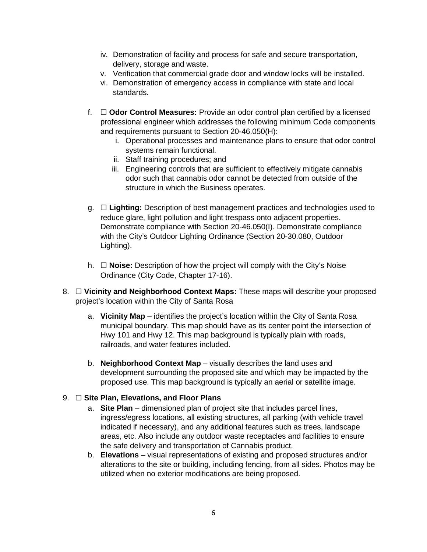- iv. Demonstration of facility and process for safe and secure transportation, delivery, storage and waste.
- v. Verification that commercial grade door and window locks will be installed.
- vi. Demonstration of emergency access in compliance with state and local standards.
- f. ☐ **Odor Control Measures:** Provide an odor control plan certified by a licensed professional engineer which addresses the following minimum Code components and requirements pursuant to Section 20-46.050(H):
	- i. Operational processes and maintenance plans to ensure that odor control systems remain functional.
	- ii. Staff training procedures; and
	- iii. Engineering controls that are sufficient to effectively mitigate cannabis odor such that cannabis odor cannot be detected from outside of the structure in which the Business operates.
- g. ☐ **Lighting:** Description of best management practices and technologies used to reduce glare, light pollution and light trespass onto adjacent properties. Demonstrate compliance with Section 20-46.050(I). Demonstrate compliance with the City's Outdoor Lighting Ordinance (Section 20-30.080, Outdoor Lighting).
- h. ☐ **Noise:** Description of how the project will comply with the City's Noise Ordinance (City Code, Chapter 17-16).
- 8. ☐ **Vicinity and Neighborhood Context Maps:** These maps will describe your proposed project's location within the City of Santa Rosa
	- a. **Vicinity Map** identifies the project's location within the City of Santa Rosa municipal boundary. This map should have as its center point the intersection of Hwy 101 and Hwy 12. This map background is typically plain with roads, railroads, and water features included.
	- b. **Neighborhood Context Map** visually describes the land uses and development surrounding the proposed site and which may be impacted by the proposed use. This map background is typically an aerial or satellite image.

#### 9. ☐ **Site Plan, Elevations, and Floor Plans**

- a. **Site Plan** dimensioned plan of project site that includes parcel lines, ingress/egress locations, all existing structures, all parking (with vehicle travel indicated if necessary), and any additional features such as trees, landscape areas, etc. Also include any outdoor waste receptacles and facilities to ensure the safe delivery and transportation of Cannabis product.
- b. **Elevations** visual representations of existing and proposed structures and/or alterations to the site or building, including fencing, from all sides. Photos may be utilized when no exterior modifications are being proposed.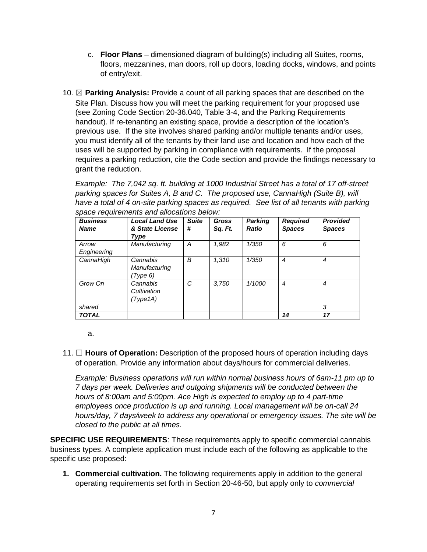- c. **Floor Plans** dimensioned diagram of building(s) including all Suites, rooms, floors, mezzanines, man doors, roll up doors, loading docks, windows, and points of entry/exit.
- 10. ☒ **Parking Analysis:** Provide a count of all parking spaces that are described on the Site Plan. Discuss how you will meet the parking requirement for your proposed use (see Zoning Code Section 20-36.040, Table 3-4, and the Parking Requirements handout). If re-tenanting an existing space, provide a description of the location's previous use. If the site involves shared parking and/or multiple tenants and/or uses, you must identify all of the tenants by their land use and location and how each of the uses will be supported by parking in compliance with requirements. If the proposal requires a parking reduction, cite the Code section and provide the findings necessary to grant the reduction.

*Example: The 7,042 sq. ft. building at 1000 Industrial Street has a total of 17 off-street parking spaces for Suites A, B and C. The proposed use, CannaHigh (Suite B), will have a total of 4 on-site parking spaces as required. See list of all tenants with parking space requirements and allocations below:*

| <b>Business</b><br><b>Name</b> | <b>Local Land Use</b><br>& State License | <b>Suite</b><br># | <b>Gross</b><br>Sq. Ft. | <b>Parking</b><br><b>Ratio</b> | <b>Required</b><br><b>Spaces</b> | <b>Provided</b><br><b>Spaces</b> |
|--------------------------------|------------------------------------------|-------------------|-------------------------|--------------------------------|----------------------------------|----------------------------------|
|                                | Type                                     |                   |                         |                                |                                  |                                  |
| Arrow                          | Manufacturing                            | А                 | 1,982                   | 1/350                          | 6                                | 6                                |
| Engineering                    |                                          |                   |                         |                                |                                  |                                  |
| CannaHigh                      | Cannabis                                 | B                 | 1,310                   | 1/350                          | 4                                | 4                                |
|                                | Manufacturing                            |                   |                         |                                |                                  |                                  |
|                                | (Type 6)                                 |                   |                         |                                |                                  |                                  |
| Grow On                        | Cannabis                                 | C                 | 3,750                   | 1/1000                         | 4                                | 4                                |
|                                | Cultivation                              |                   |                         |                                |                                  |                                  |
|                                | (Type1A)                                 |                   |                         |                                |                                  |                                  |
| shared                         |                                          |                   |                         |                                |                                  | 3                                |
| <b>TOTAL</b>                   |                                          |                   |                         |                                | 14                               | 17                               |

a.

11. ☐ **Hours of Operation:** Description of the proposed hours of operation including days of operation. Provide any information about days/hours for commercial deliveries.

*Example: Business operations will run within normal business hours of 6am-11 pm up to 7 days per week. Deliveries and outgoing shipments will be conducted between the hours of 8:00am and 5:00pm. Ace High is expected to employ up to 4 part-time employees once production is up and running. Local management will be on-call 24 hours/day, 7 days/week to address any operational or emergency issues. The site will be closed to the public at all times.*

**SPECIFIC USE REQUIREMENTS**: These requirements apply to specific commercial cannabis business types. A complete application must include each of the following as applicable to the specific use proposed:

**1. Commercial cultivation.** The following requirements apply in addition to the general operating requirements set forth in Section 20-46-50, but apply only to *commercial*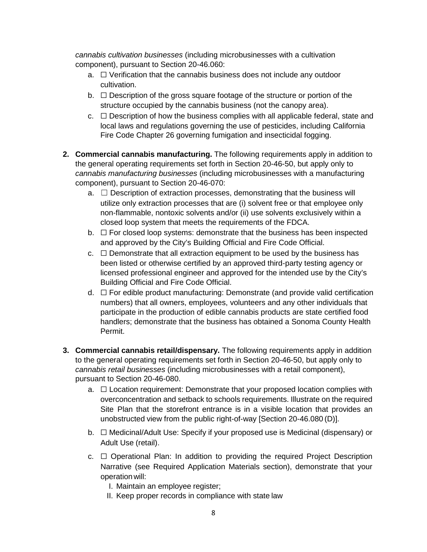*cannabis cultivation businesses* (including microbusinesses with a cultivation component), pursuant to Section 20-46.060:

- a. □ Verification that the cannabis business does not include any outdoor cultivation.
- $b. \Box$  Description of the gross square footage of the structure or portion of the structure occupied by the cannabis business (not the canopy area).
- $c. \Box$  Description of how the business complies with all applicable federal, state and local laws and regulations governing the use of pesticides, including California Fire Code Chapter 26 governing fumigation and insecticidal fogging.
- **2. Commercial cannabis manufacturing.** The following requirements apply in addition to the general operating requirements set forth in Section 20-46-50, but apply only to *cannabis manufacturing businesses* (including microbusinesses with a manufacturing component), pursuant to Section 20-46-070:
	- $a. \Box$  Description of extraction processes, demonstrating that the business will utilize only extraction processes that are (i) solvent free or that employee only non-flammable, nontoxic solvents and/or (ii) use solvents exclusively within a closed loop system that meets the requirements of the FDCA.
	- $b. \Box$  For closed loop systems: demonstrate that the business has been inspected and approved by the City's Building Official and Fire Code Official.
	- $c. \Box$  Demonstrate that all extraction equipment to be used by the business has been listed or otherwise certified by an approved third-party testing agency or licensed professional engineer and approved for the intended use by the City's Building Official and Fire Code Official.
	- $d. \Box$  For edible product manufacturing: Demonstrate (and provide valid certification numbers) that all owners, employees, volunteers and any other individuals that participate in the production of edible cannabis products are state certified food handlers; demonstrate that the business has obtained a Sonoma County Health Permit.
- **3. Commercial cannabis retail/dispensary.** The following requirements apply in addition to the general operating requirements set forth in Section 20-46-50, but apply only to *cannabis retail businesses* (including microbusinesses with a retail component), pursuant to Section 20-46-080.
	- a. □ Location requirement: Demonstrate that your proposed location complies with overconcentration and setback to schools requirements. Illustrate on the required Site Plan that the storefront entrance is in a visible location that provides an unobstructed view from the public right-of-way [Section 20-46.080 (D)].
	- b. ☐ Medicinal/Adult Use: Specify if your proposed use is Medicinal (dispensary) or Adult Use (retail).
	- c. ☐ Operational Plan: In addition to providing the required Project Description Narrative (see Required Application Materials section), demonstrate that your operationwill:
		- I. Maintain an employee register;
		- II. Keep proper records in compliance with state law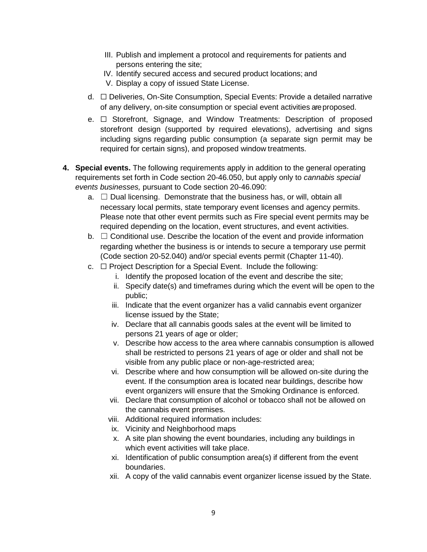- III. Publish and implement a protocol and requirements for patients and persons entering the site;
- IV. Identify secured access and secured product locations; and
- V. Display a copy of issued State License.
- d. ☐ Deliveries, On-Site Consumption, Special Events: Provide a detailed narrative of any delivery, on-site consumption or special event activities are proposed.
- e. ☐ Storefront, Signage, and Window Treatments: Description of proposed storefront design (supported by required elevations), advertising and signs including signs regarding public consumption (a separate sign permit may be required for certain signs), and proposed window treatments.
- **4. Special events.** The following requirements apply in addition to the general operating requirements set forth in Code section 20-46.050, but apply only to *cannabis special events businesses,* pursuant to Code section 20-46.090:
	- $a. \Box$  Dual licensing. Demonstrate that the business has, or will, obtain all necessary local permits, state temporary event licenses and agency permits. Please note that other event permits such as Fire special event permits may be required depending on the location, event structures, and event activities.
	- $b. \Box$  Conditional use. Describe the location of the event and provide information regarding whether the business is or intends to secure a temporary use permit (Code section 20-52.040) and/or special events permit (Chapter 11-40).
	- c. ☐ Project Description for a Special Event. Include the following:
		- i. Identify the proposed location of the event and describe the site;
		- ii. Specify date(s) and timeframes during which the event will be open to the public;
		- iii. Indicate that the event organizer has a valid cannabis event organizer license issued by the State;
		- iv. Declare that all cannabis goods sales at the event will be limited to persons 21 years of age or older;
		- v. Describe how access to the area where cannabis consumption is allowed shall be restricted to persons 21 years of age or older and shall not be visible from any public place or non-age-restricted area;
		- vi. Describe where and how consumption will be allowed on-site during the event. If the consumption area is located near buildings, describe how event organizers will ensure that the Smoking Ordinance is enforced.
		- vii. Declare that consumption of alcohol or tobacco shall not be allowed on the cannabis event premises.
		- viii. Additional required information includes:
		- ix. Vicinity and Neighborhood maps
		- x. A site plan showing the event boundaries, including any buildings in which event activities will take place.
		- xi. Identification of public consumption area(s) if different from the event boundaries.
		- xii. A copy of the valid cannabis event organizer license issued by the State.